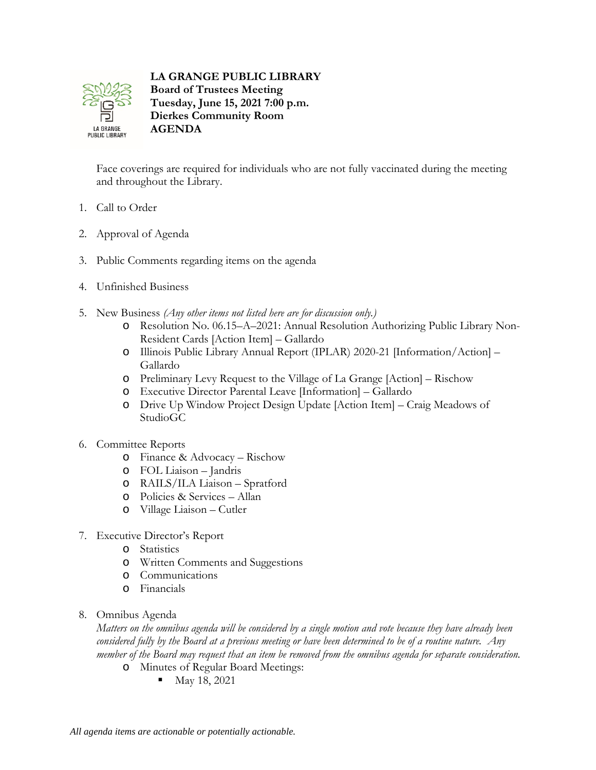

**LA GRANGE PUBLIC LIBRARY Board of Trustees Meeting Tuesday, June 15, 2021 7:00 p.m. Dierkes Community Room AGENDA**

Face coverings are required for individuals who are not fully vaccinated during the meeting and throughout the Library.

- 1. Call to Order
- 2. Approval of Agenda
- 3. Public Comments regarding items on the agenda
- 4. Unfinished Business
- 5. New Business *(Any other items not listed here are for discussion only.)*
	- o Resolution No. 06.15–A–2021: Annual Resolution Authorizing Public Library Non-Resident Cards [Action Item] – Gallardo
	- o Illinois Public Library Annual Report (IPLAR) 2020-21 [Information/Action] Gallardo
	- o Preliminary Levy Request to the Village of La Grange [Action] Rischow
	- o Executive Director Parental Leave [Information] Gallardo
	- o Drive Up Window Project Design Update [Action Item] Craig Meadows of StudioGC
- 6. Committee Reports
	- o Finance & Advocacy Rischow
	- o FOL Liaison Jandris
	- o RAILS/ILA Liaison Spratford
	- o Policies & Services Allan
	- o Village Liaison Cutler
- 7. Executive Director's Report
	- o Statistics
	- o Written Comments and Suggestions
	- o Communications
	- o Financials
- 8. Omnibus Agenda

*Matters on the omnibus agenda will be considered by a single motion and vote because they have already been considered fully by the Board at a previous meeting or have been determined to be of a routine nature. Any member of the Board may request that an item be removed from the omnibus agenda for separate consideration.*

- o Minutes of Regular Board Meetings:
	- $\blacksquare$  May 18, 2021